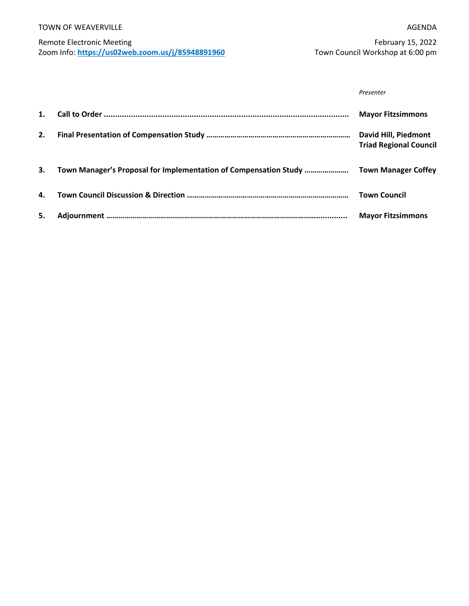#### TOWN OF WEAVERVILLE

### Remote Electronic Meeting Zoom Info: **<https://us02web.zoom.us/j/85948891960>**

February 15, 2022 Town Council Workshop at 6:00 pm

| Presenter |
|-----------|
|           |

| 1. |                                                                  | <b>Mayor Fitzsimmons</b>                              |
|----|------------------------------------------------------------------|-------------------------------------------------------|
| 2. |                                                                  | David Hill, Piedmont<br><b>Triad Regional Council</b> |
| 3. | Town Manager's Proposal for Implementation of Compensation Study | <b>Town Manager Coffey</b>                            |
| 4. |                                                                  | <b>Town Council</b>                                   |
| 5. |                                                                  | <b>Mayor Fitzsimmons</b>                              |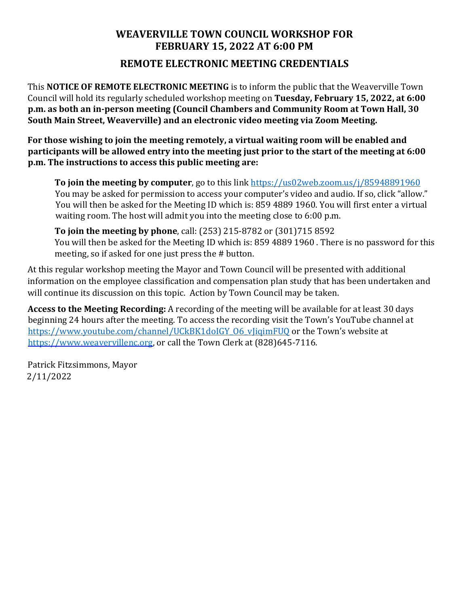### **WEAVERVILLE TOWN COUNCIL WORKSHOP FOR FEBRUARY 15, 2022 AT 6:00 PM**

**REMOTE ELECTRONIC MEETING CREDENTIALS**

This **NOTICE OF REMOTE ELECTRONIC MEETING** is to inform the public that the Weaverville Town Council will hold its regularly scheduled workshop meeting on **Tuesday, February 15, 2022, at 6:00 p.m. as both an in-person meeting (Council Chambers and Community Room at Town Hall, 30 South Main Street, Weaverville) and an electronic video meeting via Zoom Meeting.** 

**For those wishing to join the meeting remotely, a virtual waiting room will be enabled and participants will be allowed entry into the meeting just prior to the start of the meeting at 6:00 p.m. The instructions to access this public meeting are:** 

**To join the meeting by computer**, go to this link<https://us02web.zoom.us/j/85948891960> You may be asked for permission to access your computer's video and audio. If so, click "allow." You will then be asked for the Meeting ID which is: 859 4889 1960. You will first enter a virtual waiting room. The host will admit you into the meeting close to 6:00 p.m.

**To join the meeting by phone**, call: (253) 215-8782 or (301)715 8592 You will then be asked for the Meeting ID which is: 859 4889 1960 . There is no password for this meeting, so if asked for one just press the # button.

At this regular workshop meeting the Mayor and Town Council will be presented with additional information on the employee classification and compensation plan study that has been undertaken and will continue its discussion on this topic. Action by Town Council may be taken.

**Access to the Meeting Recording:** A recording of the meeting will be available for at least 30 days beginning 24 hours after the meeting. To access the recording visit the Town's YouTube channel at https://www.youtube.com/channel/UCkBK1doIGY\_06\_vJigimFUQ or the Town's website at [https://www.weavervillenc.org,](https://www.weavervillenc.org/) or call the Town Clerk at (828)645-7116.

Patrick Fitzsimmons, Mayor 2/11/2022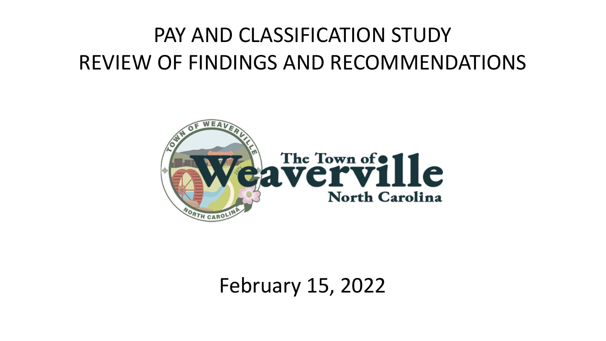# PAY AND CLASSIFICATION STUDY REVIEW OF FINDINGS AND RECOMMENDATIONS



February 15, 2022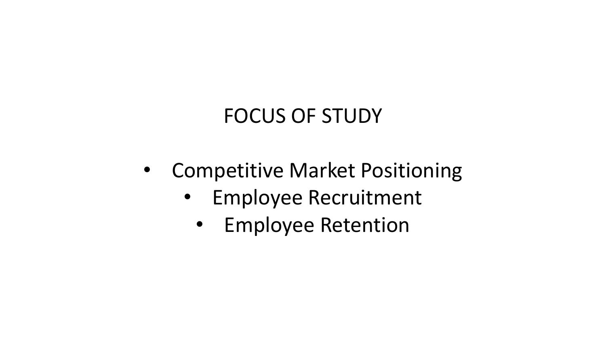## FOCUS OF STUDY

- Competitive Market Positioning
	- Employee Recruitment
		- Employee Retention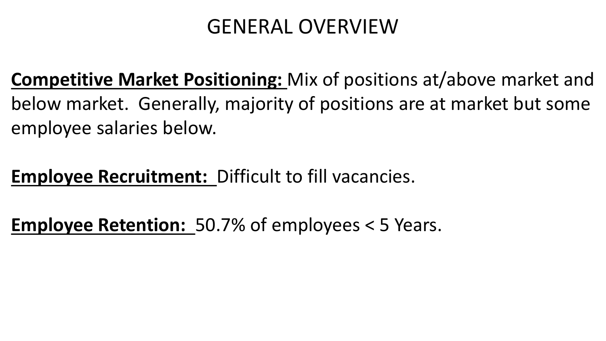## GENERAL OVERVIEW

**Competitive Market Positioning:** Mix of positions at/above market and below market. Generally, majority of positions are at market but some employee salaries below.

## **Employee Recruitment:** Difficult to fill vacancies.

**Employee Retention:** 50.7% of employees < 5 Years.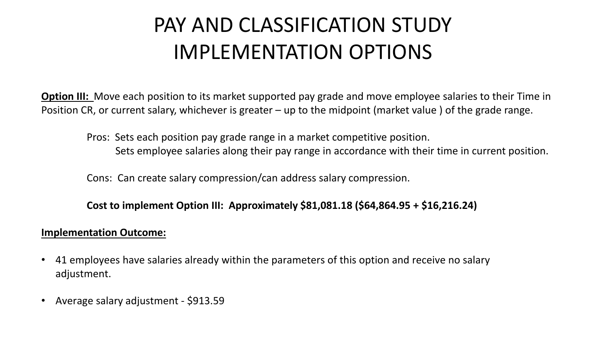## PAY AND CLASSIFICATION STUDY IMPLEMENTATION OPTIONS

**Option III:** Move each position to its market supported pay grade and move employee salaries to their Time in Position CR, or current salary, whichever is greater – up to the midpoint (market value ) of the grade range.

Pros: Sets each position pay grade range in a market competitive position. Sets employee salaries along their pay range in accordance with their time in current position.

Cons: Can create salary compression/can address salary compression.

**Cost to implement Option III: Approximately \$81,081.18 (\$64,864.95 + \$16,216.24)**

### **Implementation Outcome:**

- 41 employees have salaries already within the parameters of this option and receive no salary adjustment.
- Average salary adjustment \$913.59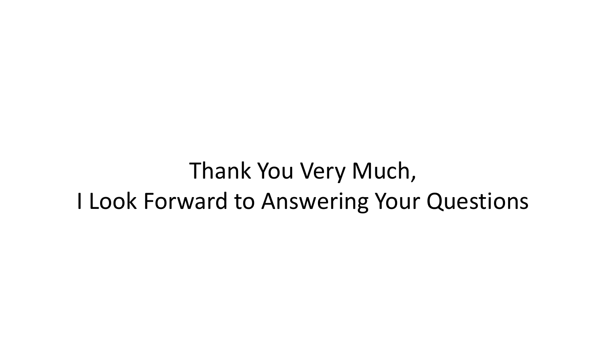# Thank You Very Much, I Look Forward to Answering Your Questions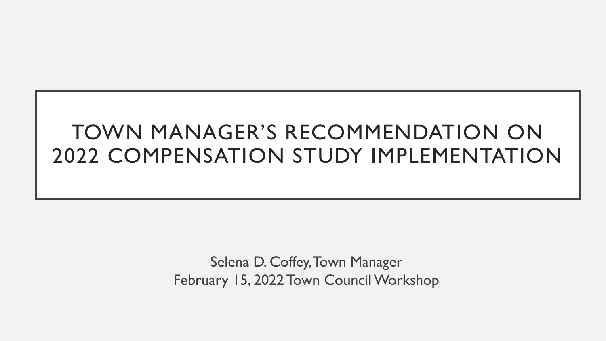## TOWN MANAGER'S RECOMMENDATION ON 2022 COMPENSATION STUDY IMPLEMENTATION

Selena D. Coffey, Town Manager February 15, 2022 Town Council Workshop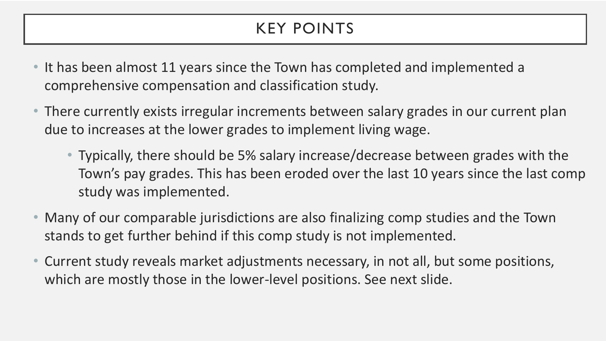## KEY POINTS

- It has been almost 11 years since the Town has completed and implemented a comprehensive compensation and classification study.
- There currently exists irregular increments between salary grades in our current plan due to increases at the lower grades to implement living wage.
	- Typically, there should be 5% salary increase/decrease between grades with the Town's pay grades. This has been eroded over the last 10 years since the last comp study was implemented.
- Many of our comparable jurisdictions are also finalizing comp studies and the Town stands to get further behind if this comp study is not implemented.
- Current study reveals market adjustments necessary, in not all, but some positions, which are mostly those in the lower-level positions. See next slide.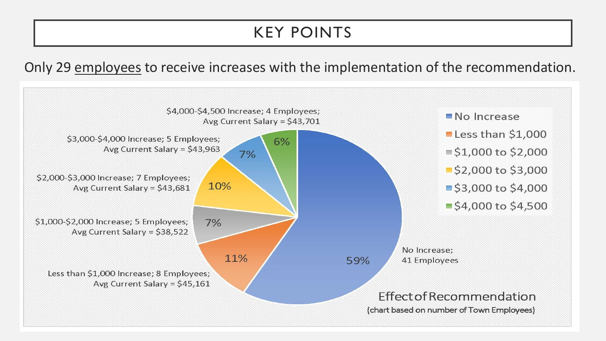### KEY POINTS

Only 29 employees to receive increases with the implementation of the recommendation.

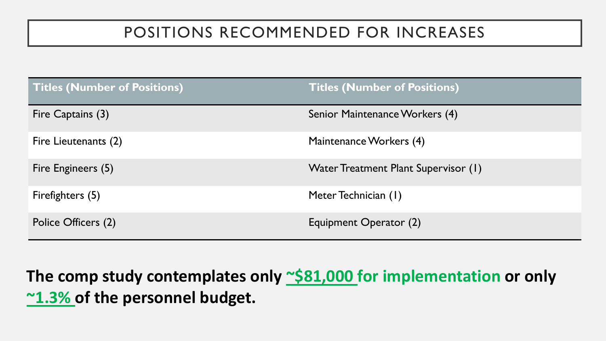### POSITIONS RECOMMENDED FOR INCREASES

| <b>Titles (Number of Positions)</b> | <b>Titles (Number of Positions)</b>  |
|-------------------------------------|--------------------------------------|
| Fire Captains (3)                   | Senior Maintenance Workers (4)       |
| Fire Lieutenants (2)                | Maintenance Workers (4)              |
| Fire Engineers (5)                  | Water Treatment Plant Supervisor (1) |
| Firefighters (5)                    | Meter Technician (1)                 |
| Police Officers (2)                 | Equipment Operator (2)               |

The comp study contemplates only  $\sim$ \$81,000 for implementation or only **~1.3% of the personnel budget.**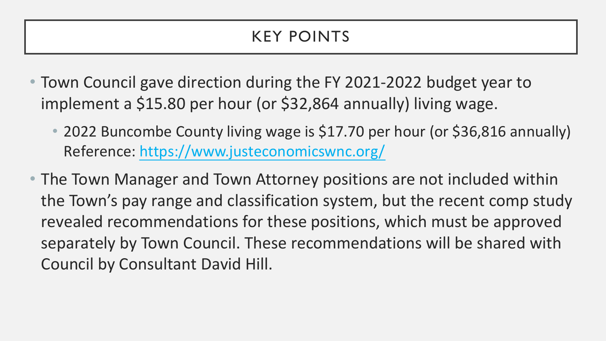### KEY POINTS

- Town Council gave direction during the FY 2021-2022 budget year to implement a \$15.80 per hour (or \$32,864 annually) living wage.
	- 2022 Buncombe County living wage is \$17.70 per hour (or \$36,816 annually) Reference: <https://www.justeconomicswnc.org/>
- The Town Manager and Town Attorney positions are not included within the Town's pay range and classification system, but the recent comp study revealed recommendations for these positions, which must be approved separately by Town Council. These recommendations will be shared with Council by Consultant David Hill.